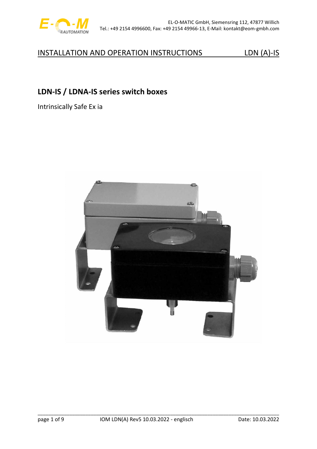

# **LDN-IS / LDNA-IS series switch boxes**

Intrinsically Safe Ex ia

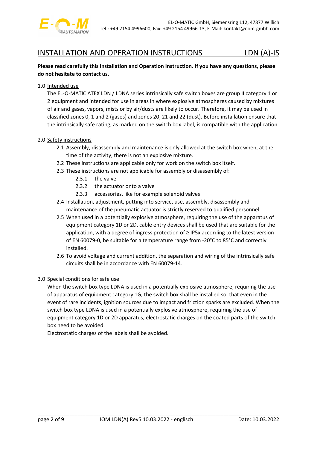

## **Please read carefully this Installation and Operation Instruction. If you have any questions, please do not hesitate to contact us.**

### 1.0 Intended use

The EL-O-MATIC ATEX LDN / LDNA series intrinsically safe switch boxes are group II category 1 or 2 equipment and intended for use in areas in where explosive atmospheres caused by mixtures of air and gases, vapors, mists or by air/dusts are likely to occur. Therefore, it may be used in classified zones 0, 1 and 2 (gases) and zones 20, 21 and 22 (dust). Before installation ensure that the intrinsically safe rating, as marked on the switch box label, is compatible with the application.

### 2.0 Safety instructions

- 2.1 Assembly, disassembly and maintenance is only allowed at the switch box when, at the time of the activity, there is not an explosive mixture.
- 2.2 These instructions are applicable only for work on the switch box itself.
- 2.3 These instructions are not applicable for assembly or disassembly of:
	- 2.3.1 the valve
	- 2.3.2 the actuator onto a valve
	- 2.3.3 accessories, like for example solenoid valves
- 2.4 Installation, adjustment, putting into service, use, assembly, disassembly and maintenance of the pneumatic actuator is strictly reserved to qualified personnel.
- 2.5 When used in a potentially explosive atmosphere, requiring the use of the apparatus of equipment category 1D or 2D, cable entry devices shall be used that are suitable for the application, with a degree of ingress protection of ≥ IP5x according to the latest version of EN 60079-0, be suitable for a temperature range from -20°C to 85°C and correctly installed.
- 2.6 To avoid voltage and current addition, the separation and wiring of the intrinsically safe circuits shall be in accordance with EN 60079-14.

### 3.0 Special conditions for safe use

When the switch box type LDNA is used in a potentially explosive atmosphere, requiring the use of apparatus of equipment category 1G, the switch box shall be installed so, that even in the event of rare incidents, ignition sources due to impact and friction sparks are excluded. When the switch box type LDNA is used in a potentially explosive atmosphere, requiring the use of equipment category 1D or 2D apparatus, electrostatic charges on the coated parts of the switch box need to be avoided.

Electrostatic charges of the labels shall be avoided.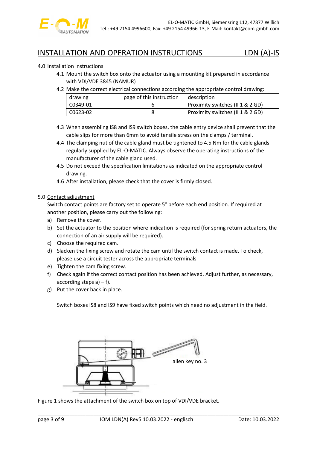

## 4.0 Installation instructions

- 4.1 Mount the switch box onto the actuator using a mounting kit prepared in accordance with VDI/VDE 3845 (NAMUR)
- 4.2 Make the correct electrical connections according the appropriate control drawing:

| drawing  | page of this instruction | description                      |
|----------|--------------------------|----------------------------------|
| C0349-01 |                          | Proximity switches (II 1 & 2 GD) |
| C0623-02 |                          | Proximity switches (II 1 & 2 GD) |

- 4.3 When assembling IS8 and IS9 switch boxes, the cable entry device shall prevent that the cable slips for more than 6mm to avoid tensile stress on the clamps / terminal.
- 4.4 The clamping nut of the cable gland must be tightened to 4.5 Nm for the cable glands regularly supplied by EL-O-MATIC. Always observe the operating instructions of the manufacturer of the cable gland used.
- 4.5 Do not exceed the specification limitations as indicated on the appropriate control drawing.
- 4.6 After installation, please check that the cover is firmly closed.

### 5.0 Contact adjustment

Switch contact points are factory set to operate 5° before each end position. If required at another position, please carry out the following:

- a) Remove the cover.
- b) Set the actuator to the position where indication is required (for spring return actuators, the connection of an air supply will be required).
- c) Choose the required cam.
- d) Slacken the fixing screw and rotate the cam until the switch contact is made. To check, please use a circuit tester across the appropriate terminals
- e) Tighten the cam fixing screw.
- f) Check again if the correct contact position has been achieved. Adjust further, as necessary, according steps  $a$ ) – f).
- g) Put the cover back in place.

Switch boxes IS8 and IS9 have fixed switch points which need no adjustment in the field.



Figure 1 shows the attachment of the switch box on top of VDI/VDE bracket.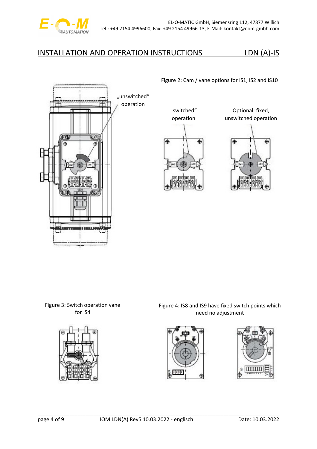

Figure 2: Cam / vane options for IS1, IS2 and IS10



"switched"



Optional: fixed, unswitched operation



Figure 3: Switch operation vane for IS4



Figure 4: IS8 and IS9 have fixed switch points which need no adjustment



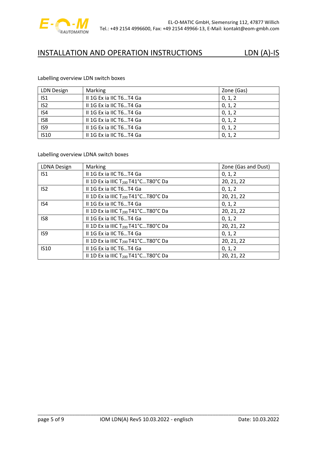

### Labelling overview LDN switch boxes

| <b>LDN Design</b> | Marking                 | Zone (Gas) |
|-------------------|-------------------------|------------|
| IS <sub>1</sub>   | II 1G Ex ia IIC T6T4 Ga | 0, 1, 2    |
| $\overline{152}$  | II 1G Ex ia IIC T6T4 Ga | 0, 1, 2    |
| IS4               | II 1G Ex ia IIC T6T4 Ga | 0, 1, 2    |
| IS8               | II 1G Ex ia IIC T6T4 Ga | 0, 1, 2    |
| IS9               | II 1G Ex ia IIC T6T4 Ga | 0, 1, 2    |
| <b>IS10</b>       | II 1G Ex ia IIC T6T4 Ga | 0, 1, 2    |

### Labelling overview LDNA switch boxes

| <b>LDNA Design</b> | <b>Marking</b>                                  | Zone (Gas and Dust) |  |  |
|--------------------|-------------------------------------------------|---------------------|--|--|
| IS <sub>1</sub>    | II 1G Ex ia IIC T6T4 Ga                         | 0, 1, 2             |  |  |
|                    | II 1D Ex ia IIIC $T_{200}$ T41°CT80°C Da        | 20, 21, 22          |  |  |
| IS <sub>2</sub>    | II 1G Ex ia IIC T6T4 Ga                         | 0, 1, 2             |  |  |
|                    | II 1D Ex ia IIIC $T_{200}$ T41°CT80°C Da        | 20, 21, 22          |  |  |
| IS4                | II 1G Ex ia IIC T6T4 Ga                         | 0, 1, 2             |  |  |
|                    | II 1D Ex ia IIIC $T_{200}$ T41°CT80°C Da        | 20, 21, 22          |  |  |
| IS8                | II 1G Ex ia IIC T6T4 Ga                         | 0, 1, 2             |  |  |
|                    | II 1D Ex ia IIIC $T_{200}$ T41°CT80°C Da        | 20, 21, 22          |  |  |
| IS9                | II 1G Ex ia IIC T6T4 Ga                         | 0, 1, 2             |  |  |
|                    | II 1D Ex ia IIIC T <sub>200</sub> T41°CT80°C Da | 20, 21, 22          |  |  |
| <b>IS10</b>        | II 1G Ex ia IIC T6T4 Ga                         | 0, 1, 2             |  |  |
|                    | II 1D Ex ia IIIC T <sub>200</sub> T41°CT80°C Da | 20, 21, 22          |  |  |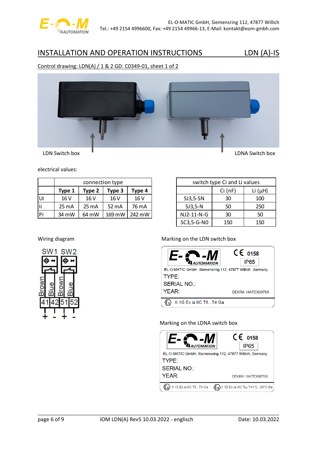

### Control drawing: LDN(A) / 1 & 2 GD: C0349-01, sheet 1 of 2



electrical values:

|    | connection type                      |                 |        |        |  |  |  |  |  |  |  |
|----|--------------------------------------|-----------------|--------|--------|--|--|--|--|--|--|--|
|    | Type 2<br>Type 4<br>Type 1<br>Type 3 |                 |        |        |  |  |  |  |  |  |  |
| Ui | 16V                                  | 16 V            | 16V    | 16V    |  |  |  |  |  |  |  |
| Ii | $25 \text{ mA}$                      | $25 \text{ mA}$ | 52 mA  | 76 mA  |  |  |  |  |  |  |  |
| Pi | 34 mW                                | 64 mW           | 169 mW | 242 mW |  |  |  |  |  |  |  |

| switch type Ci and Li values |     |     |  |  |  |  |  |  |  |
|------------------------------|-----|-----|--|--|--|--|--|--|--|
| $Ci$ (nF)<br>Li $(\mu H)$    |     |     |  |  |  |  |  |  |  |
| $SJ3,5-SN$                   | 30  | 100 |  |  |  |  |  |  |  |
| $SJ3,5-N$                    | 50  | 250 |  |  |  |  |  |  |  |
| NJ2-11-N-G                   | 30  | 50  |  |  |  |  |  |  |  |
| SC3,5-G-N0                   | 150 | 150 |  |  |  |  |  |  |  |

### Wiring diagram Marking on the LDN switch box



Marking on the LDNA switch box



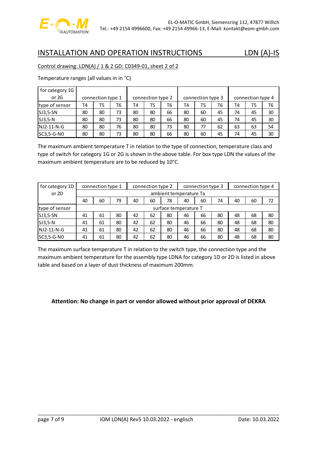

### Control drawing: LDN(A) / 1 & 2 GD: C0349-01, sheet 2 of 2

Temperature ranges (all values in in °C)

| for category 1G |                   |    |                   |    |                   |    |    |                   |    |    |    |    |
|-----------------|-------------------|----|-------------------|----|-------------------|----|----|-------------------|----|----|----|----|
| or 2G           | connection type 1 |    | connection type 2 |    | connection type 3 |    |    | connection type 4 |    |    |    |    |
| type of sensor  | T4                | T5 | T6                | T4 | T5                | T6 | T4 | T5                | T6 | T4 | T5 | T6 |
| SJ3,5-SN        | 80                | 80 | 73                | 80 | 80                | 66 | 80 | 60                | 45 | 74 | 45 | 30 |
| $SJ3,5-N$       | 80                | 80 | 73                | 80 | 80                | 66 | 80 | 60                | 45 | 74 | 45 | 30 |
| $INJ2-11-N-G$   | 80                | 80 | 76                | 80 | 80                | 73 | 80 | 77                | 62 | 63 | 63 | 54 |
| SC3,5-G-N0      | 80                | 80 | 73                | 80 | 80                | 66 | 80 | 60                | 45 | 74 | 45 | 30 |

The maximum ambient temperature T in relation to the type of connection, temperature class and type of switch for category 1G or 2G is shown in the above table. For box type LDN the values of the maximum ambient temperature are to be reduced by 10°C.

| for category 1D | connection type 3<br>connection type 2<br>connection type 1 |                                                    |    |    |    |    |    | connection type 4 |    |    |    |    |
|-----------------|-------------------------------------------------------------|----------------------------------------------------|----|----|----|----|----|-------------------|----|----|----|----|
| or 2D           |                                                             | ambient temperature Ta                             |    |    |    |    |    |                   |    |    |    |    |
|                 | 40                                                          | 60<br>79<br>78<br>40<br>40<br>60<br>40<br>60<br>74 |    |    |    |    |    |                   |    | 60 | 72 |    |
| type of sensor  |                                                             | surface temperature T                              |    |    |    |    |    |                   |    |    |    |    |
| SJ3,5-SN        | 41                                                          | 61                                                 | 80 | 42 | 62 | 80 | 46 | 66                | 80 | 48 | 68 | 80 |
| $SJ3,5-N$       | 41                                                          | 61                                                 | 80 | 42 | 62 | 80 | 46 | 66                | 80 | 48 | 68 | 80 |
| NJ2-11-N-G      | 41                                                          | 61                                                 | 80 | 42 | 62 | 80 | 46 | 66                | 80 | 48 | 68 | 80 |
| SC3,5-G-N0      | 41                                                          | 61                                                 | 80 | 42 | 62 | 80 | 46 | 66                | 80 | 48 | 68 | 80 |

The maximum surface temperature T in relation to the switch type, the connection type and the maximum ambient temperature for the assembly type LDNA for category 1D or 2D is listed in above table and based on a layer of dust thickness of maximum 200mm.

### **Attention: No change in part or vendor allowed without prior approval of DEKRA**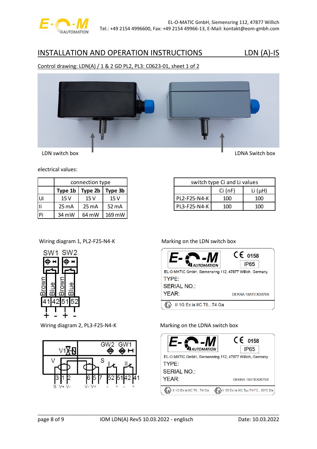

### Control drawing: LDN(A) / 1 & 2 GD PL2, PL3: C0623-01, sheet 1 of 2



electrical values:

|    | connection type               |                 |        |  |  |  |  |  |  |  |  |
|----|-------------------------------|-----------------|--------|--|--|--|--|--|--|--|--|
|    | Type 2b<br>Type 3b<br>Type 1b |                 |        |  |  |  |  |  |  |  |  |
| Ui | 15V                           | 15V             | 15 V   |  |  |  |  |  |  |  |  |
| ۱i | $25 \text{ mA}$               | $25 \text{ mA}$ | 52 mA  |  |  |  |  |  |  |  |  |
| Pi | 34 mW                         | 64 mW           | 169 mW |  |  |  |  |  |  |  |  |

| switch type Ci and Li values |     |     |  |  |  |  |  |  |  |
|------------------------------|-----|-----|--|--|--|--|--|--|--|
| Li $(\mu H)$<br>$Ci$ (nF)    |     |     |  |  |  |  |  |  |  |
| PL2-F25-N4-K                 | 100 | 100 |  |  |  |  |  |  |  |
| PL3-F25-N4-K<br>100<br>100   |     |     |  |  |  |  |  |  |  |

### Wiring diagram 1, PL2-F25-N4-K Marking on the LDN switch box







### Wiring diagram 2, PL3-F25-N4-K Marking on the LDNA switch box